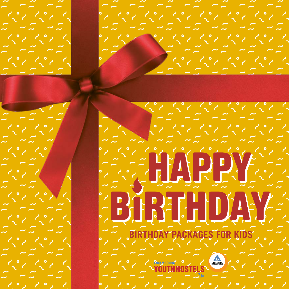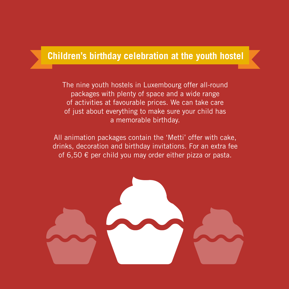#### **Children's birthday celebration at the youth hostel**

The nine youth hostels in Luxembourg offer all-round packages with plenty of space and a wide range of activities at favourable prices. We can take care of just about everything to make sure your child has a memorable birthday.

All animation packages contain the 'Metti' offer with cake, drinks, decoration and birthday invitations. For an extra fee of 6,50  $\epsilon$  per child you may order either pizza or pasta.

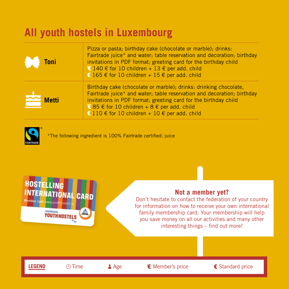#### **All youth hostels in Luxembourg**

| ĐO<br>Toni        | Pizza or pasta; birthday cake (chocolate or marble); drinks:<br>Fairtrade juice* and water; table reservation and decoration; birthday<br>invitations in PDF format; greeting card for the birthday child<br>€ 140 € for 10 children + 13 € per add. child<br>€ 165 € for 10 children + 15 € per add. child   |
|-------------------|---------------------------------------------------------------------------------------------------------------------------------------------------------------------------------------------------------------------------------------------------------------------------------------------------------------|
| Metti<br>$\equiv$ | Birthday cake (chocolate or marble); drinks: drinking chocolate,<br>Fairtrade juice* and water; table reservation and decoration; birthday<br>invitations in PDF format; greeting card for the birthday child<br>€ 85 € for 10 children + 8 € per add. child<br>€ 110 € for 10 children + 10 € per add. child |



\*The following ingredient is 100% Fairtrade certified: juice



#### **Not a member yet?**

Don't hesitate to contact the federation of your country for information on how to receive your own international family membership card. Your membership will help you save money on all our activities and many other interesting things – find out more!

LEGEND ① Time Age Wember's price E Standard price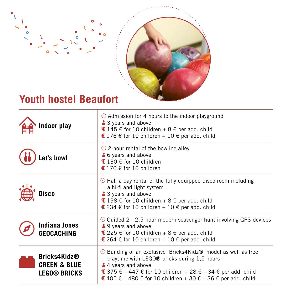

#### **Youth hostel Beaufort**

 $\bullet$ 

 $\circ$ 

| Indoor play                                                    | $\odot$ Admission for 4 hours to the indoor playground<br>3 years and above<br>$I45 \in$ for 10 children + 8 $\in$ per add. child<br>€ 176 € for 10 children + 10 € per add. child                                                                                                                            |
|----------------------------------------------------------------|---------------------------------------------------------------------------------------------------------------------------------------------------------------------------------------------------------------------------------------------------------------------------------------------------------------|
| et's bowl                                                      | $\odot$ 2-hour rental of the bowling alley<br>6 years and above<br>€ 130 € for 10 children<br>€ 170 € for 10 children                                                                                                                                                                                         |
| Disco                                                          | $\odot$ Half a day rental of the fully equipped disco room including<br>a hi-fi and light system<br>3 years and above<br>€ 198 € for 10 children + 8 € per add. child<br>€ 234 € for 10 children + 10 € per add. child                                                                                        |
| <b>Indiana Jones</b><br>GEOCACHING                             | $\odot$ Guided 2 - 2,5-hour modern scavenger hunt involving GPS-devices<br><b>4</b> 9 years and above<br><b>€</b> 225 € for 10 children + 8 € per add. child<br>€ 264 € for 10 children + 10 € per add. child                                                                                                 |
| Bricks4Kidz®<br><b>GREEN &amp; BLUE</b><br><b>LEGO® BRICKS</b> | $\odot$ Building of an exclusive 'Bricks4Kidz®' model as well as free<br>playtime with LEGO® bricks during 1,5 hours<br>4 years and above<br>€ 375 $\epsilon$ – 447 $\epsilon$ for 10 children + 28 $\epsilon$ – 34 $\epsilon$ per add. child<br>€ 405 € - 480 € for 10 children + 30 € - 36 € per add. child |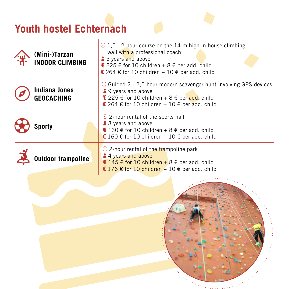# **Youth hostel Echternach**

| (Mini-)Tarzan<br><b>INDOOR CLIMBING</b> | $\odot$ 1.5 - 2-hour course on the 14 m high in-house climbing<br>wall with a professional coach<br><b>1</b> 5 years and above<br>€ 225 € for 10 children + 8 € per add. child<br>€ 264 € for 10 children + 10 € per add. child |  |
|-----------------------------------------|---------------------------------------------------------------------------------------------------------------------------------------------------------------------------------------------------------------------------------|--|
| Indiana Jones<br><b>GEOCACHING</b>      | $\odot$ Guided 2 - 2,5-hour modern scavenger hunt involving GPS-devices<br>4.9 years and above<br><b>€</b> 225 € for 10 children + 8 € per add. child<br>€ 264 € for 10 children + 10 € per add. child                          |  |
| Sporty                                  | $\odot$ 2-hour rental of the sports hall<br>3 years and above<br>€ 130 € for 10 children + 8 € per add. child<br>€ 160 € for 10 children + 10 € per add. child                                                                  |  |
| <b>Outdoor trampoline</b>               | $\odot$ 2-hour rental of the trampoline park<br>4 years and above<br>$I45 \in$ for 10 children + 8 $\in$ per add. child<br>€ 176 € for 10 children + 10 € per add. child                                                        |  |

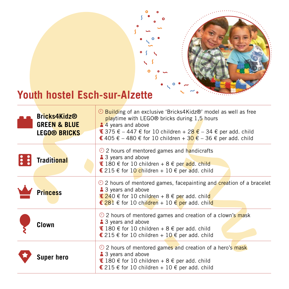

# **Youth hostel Esch-sur-Alzette**

| Bricks4Kidz®<br><b>GREEN &amp; BLUE</b><br><b>LEGO® BRICKS</b> | $\odot$ Building of an exclusive 'Bricks4Kidz®' model as well as free<br>playtime with LEGO® bricks during 1,5 hours<br>4 years and above<br><b>€</b> 375 € – 447 € for 10 children + 28 € – 34 € per add. child<br>€ 405 € – 480 € for 10 children + 30 € – 36 € per add. child |
|----------------------------------------------------------------|----------------------------------------------------------------------------------------------------------------------------------------------------------------------------------------------------------------------------------------------------------------------------------|
| <b>Traditional</b>                                             | $\odot$ 2 hours of mentored games and handicrafts<br>3 years and above<br><b>€</b> 180 € for 10 children + 8 € per add. child<br>€ 215 € for 10 children + 10 € per add. child                                                                                                   |
| <b>Princess</b>                                                | $\odot$ 2 hours of mentored games, facepainting and creation of a bracelet<br>3 years and above<br><b>€</b> 240 € for 10 children + 8 € per add. child<br>€ 281 € for 10 children + 10 € per add. child                                                                          |
| Clown                                                          | $\odot$ 2 hours of mentored games and creation of a clown's mask<br>3 years and above<br>€ 180 € for 10 children + 8 € per add. child<br>€ 215 € for 10 children + 10 € per add. child                                                                                           |
| Super hero                                                     | $\odot$ 2 hours of mentored games and creation of a hero's mask<br>3 years and above<br>€ 180 € for 10 children + 8 € per add. child<br>€ 215 € for 10 children + 10 € per add. child                                                                                            |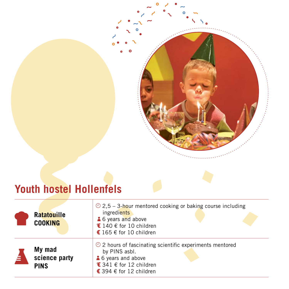# **Youth hostel Hollenfels**

| <b>Ratatouille</b><br><b>COOKING</b>   | $\odot$ 2.5 – 3-hour mentored cooking or baking course including<br>ingredients<br>6 years and above<br>€ 140 € for 10 children<br>€ 165 € for 10 children |
|----------------------------------------|------------------------------------------------------------------------------------------------------------------------------------------------------------|
| My mad<br>science party<br><b>PINS</b> | $\odot$ 2 hours of fascinating scientific experiments mentored<br>by PINS asbl.<br>6 years and above<br>€ 341 € for 12 children<br>€ 394 € for 12 children |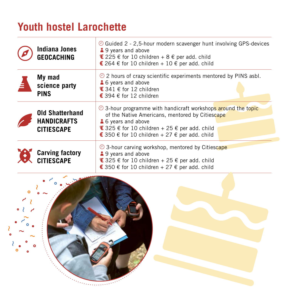## **Youth hostel Larochette**

| <b>Indiana Jones</b><br><b>GEOCACHING</b>                         | $\odot$ Guided 2 - 2,5-hour modern scavenger hunt involving GPS-devices<br>49 years and above<br>€ 225 € for 10 children + 8 € per add. child<br>€ 264 € for 10 children + 10 € per add. child                                                |
|-------------------------------------------------------------------|-----------------------------------------------------------------------------------------------------------------------------------------------------------------------------------------------------------------------------------------------|
| My mad<br>science party<br><b>PINS</b>                            | $\odot$ 2 hours of crazy scientific experiments mentored by PINS asbl.<br>6 years and above<br>$E$ 341 € for 12 children<br>€ 394 € for 12 children                                                                                           |
| <b>Old Shatterhand</b><br><b>HANDICRAFTS</b><br><b>CITIESCAPE</b> | $\odot$ 3-hour programme with handicraft workshops around the topic<br>of the Native Americans, mentored by Citiescape<br>6 years and above<br>€ 325 € for 10 children + 25 € per add. child<br>€ 350 € for 10 children + 27 € per add. child |
| <b>Carving factory</b><br><b>CITIESCAPE</b>                       | $\odot$ 3-hour carving workshop, mentored by Citiescape<br>49 years and above<br>€ 325 € for 10 children + 25 € per add. child<br>€ 350 € for 10 children + 27 € per add. child                                                               |

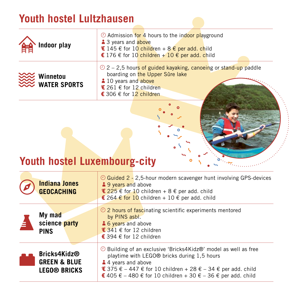## **Youth hostel Lultzhausen**

| Indoor play              | $\odot$ Admission for 4 hours to the indoor playground<br><b>3</b> 3 years and <b>above</b><br><b>€</b> 145 € for 10 children + 8 € per add. child<br>€ 176 € for 10 children + 10 € per add. child |
|--------------------------|-----------------------------------------------------------------------------------------------------------------------------------------------------------------------------------------------------|
| Winnetou<br>WATER SPORTS | $\odot$ 2 – 2.5 hours of guided kayaking, canoeing or stand-up paddle<br>boarding on the Upper Sûre lake<br>10 years and above<br>€ 261 € for 12 children<br>€ 306 € for 12 children                |
|                          |                                                                                                                                                                                                     |

## **Youth hostel Luxembourg-city**

|   | <b>Indiana Jones</b><br><b>GEOCACHING</b>                      | $\odot$ Guided 2 - 2,5-hour modern scavenger hunt involving GPS-devices<br><b>49 years and above</b><br><b>€</b> 225 € for 10 children + 8 € per add. child<br>€ 264 € for 10 children + 10 € per add. child                                                                                                  |
|---|----------------------------------------------------------------|---------------------------------------------------------------------------------------------------------------------------------------------------------------------------------------------------------------------------------------------------------------------------------------------------------------|
| A | My mad<br>science party<br><b>PINS</b>                         | $\odot$ 2 hours of fascinating scientific experiments mentored<br>by PINS asbl.<br>6 years and above<br>$$341 €$ for 12 children<br>€ 394 € for 12 children                                                                                                                                                   |
|   | Bricks4Kidz®<br><b>GREEN &amp; BLUE</b><br><b>LEGO® BRICKS</b> | $\odot$ Building of an exclusive 'Bricks4Kidz®' model as well as free<br>playtime with LEGO® bricks during 1,5 hours<br>4 years and above<br>€ 375 € – 447 € for 10 children + 28 € – 34 € per add. child<br>€ 405 $\epsilon$ – 480 $\epsilon$ for 10 children + 30 $\epsilon$ – 36 $\epsilon$ per add. child |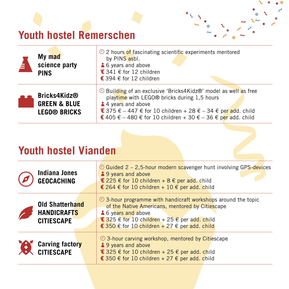## **Youth hostel Remerschen**

| É. | My mad<br>science party<br><b>PINS</b>                         | $\odot$ 2 hours of fascinating scientific experiments mentored<br>by PINS asbl.<br>6 years and above<br>€ 341 € for 12 children<br>€ 394 € for 12 children                                                                                                                       |
|----|----------------------------------------------------------------|----------------------------------------------------------------------------------------------------------------------------------------------------------------------------------------------------------------------------------------------------------------------------------|
|    | Bricks4Kidz®<br><b>GREEN &amp; BLUE</b><br><b>LEGO® BRICKS</b> | $\odot$ Building of an exclusive 'Bricks4Kidz®' model as well as free<br>playtime with LEGO® bricks during 1,5 hours<br>4 years and above<br><b>€</b> 375 € – 447 € for 10 children + 28 € – 34 € per add. child<br>€ 405 € – 480 € for 10 children + 30 € – 36 € per add. child |

ö

 $\bullet$ ۰

#### **Youth hostel Vianden**

| Indiana Jones<br><b>GEOCACHING</b>                                | $\odot$ Guided 2 – 2,5-hour modern scavenger hunt involving GPS-devices<br>49 years and above<br><b>€</b> 225 € for 10 children + 8 € per add. child<br>€ 264 € for 10 children + 10 € per add. child                                                        |
|-------------------------------------------------------------------|--------------------------------------------------------------------------------------------------------------------------------------------------------------------------------------------------------------------------------------------------------------|
| <b>Old Shatterhand</b><br><b>HANDICRAFTS</b><br><b>CITIESCAPE</b> | $\odot$ 3-hour programme with handicraft workshops around the topic<br>of the Native Americans, mentored by Citiescape<br><b>46 years and above</b><br><b>€</b> 325 € for 10 children + 25 € per add. child<br>€ 350 € for 10 children + 27 € per add. child |
| <b>Carving factory</b><br><b>CITIESCAPE</b>                       | $\odot$ 3-hour carving workshop, mentored by Citiescape<br>49 years and above<br>€ 325 € for 10 children + 25 € per add. child<br>€ 350 € for 10 children + 27 € per add. child                                                                              |